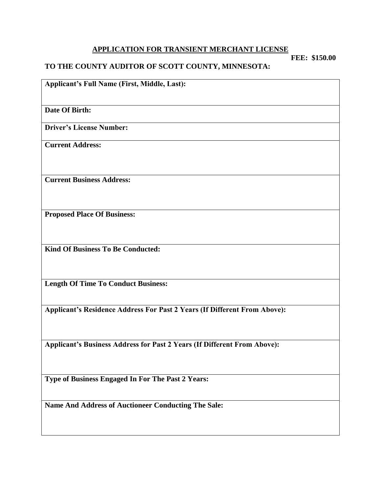#### **APPLICATION FOR TRANSIENT MERCHANT LICENSE**

**FEE: \$150.00**

#### **TO THE COUNTY AUDITOR OF SCOTT COUNTY, MINNESOTA:**

**Applicant's Full Name (First, Middle, Last):**

**Date Of Birth:**

**Driver's License Number:**

**Current Address:**

**Current Business Address:**

**Proposed Place Of Business:**

**Kind Of Business To Be Conducted:**

**Length Of Time To Conduct Business:**

**Applicant's Residence Address For Past 2 Years (If Different From Above):**

**Applicant's Business Address for Past 2 Years (If Different From Above):**

**Type of Business Engaged In For The Past 2 Years:**

**Name And Address of Auctioneer Conducting The Sale:**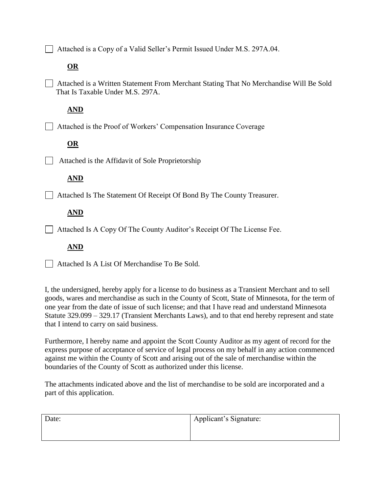Attached is a Copy of a Valid Seller's Permit Issued Under M.S. 297A.04.

### **OR**

 Attached is a Written Statement From Merchant Stating That No Merchandise Will Be Sold That Is Taxable Under M.S. 297A.

## **AND**

Attached is the Proof of Workers' Compensation Insurance Coverage

# **OR**

 $\Box$  Attached is the Affidavit of Sole Proprietorship

## **AND**

Attached Is The Statement Of Receipt Of Bond By The County Treasurer.

# **AND**

 $\Box$  Attached Is A Copy Of The County Auditor's Receipt Of The License Fee.

### **AND**

Attached Is A List Of Merchandise To Be Sold.

I, the undersigned, hereby apply for a license to do business as a Transient Merchant and to sell goods, wares and merchandise as such in the County of Scott, State of Minnesota, for the term of one year from the date of issue of such license; and that I have read and understand Minnesota Statute 329.099 – 329.17 (Transient Merchants Laws), and to that end hereby represent and state that I intend to carry on said business.

Furthermore, I hereby name and appoint the Scott County Auditor as my agent of record for the express purpose of acceptance of service of legal process on my behalf in any action commenced against me within the County of Scott and arising out of the sale of merchandise within the boundaries of the County of Scott as authorized under this license.

The attachments indicated above and the list of merchandise to be sold are incorporated and a part of this application.

| Date: | Applicant's Signature: |
|-------|------------------------|
|       |                        |